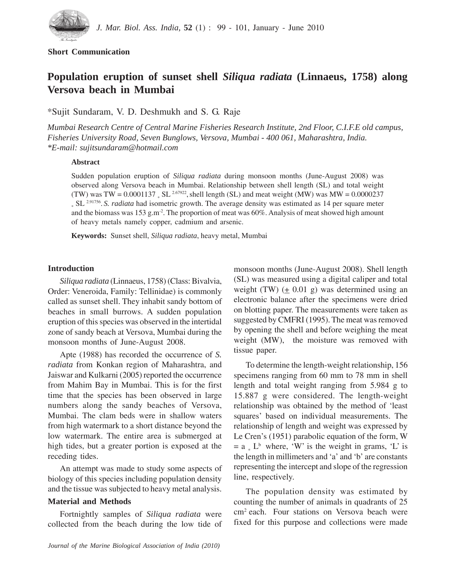

# **Short Communication**

# **Population eruption of sunset shell** *Siliqua radiata* **(Linnaeus, 1758) along Versova beach in Mumbai**

\*Sujit Sundaram, V. D. Deshmukh and S. G. Raje

*Mumbai Research Centre of Central Marine Fisheries Research Institute, 2nd Floor, C.I.F.E old campus, Fisheries University Road, Seven Bunglows, Versova, Mumbai - 400 061, Maharashtra, India. \*E-mail: sujitsundaram@hotmail.com*

### **Abstract**

Sudden population eruption of *Siliqua radiata* during monsoon months (June-August 2008) was observed along Versova beach in Mumbai. Relationship between shell length (SL) and total weight (TW) was TW =  $0.0001137$  , SL<sup>2.67922</sup>, shell length (SL) and meat weight (MW) was MW =  $0.0000237$ <sup>\$</sup> SL<sup>2.91756</sup>. S. *radiata* had isometric growth. The average density was estimated as 14 per square meter and the biomass was 153 g.m<sup>-2</sup>. The proportion of meat was  $60\%$ . Analysis of meat showed high amount of heavy metals namely copper, cadmium and arsenic.

**Keywords:** Sunset shell, *Siliqua radiata*, heavy metal, Mumbai

# **Introduction**

*Siliqua radiata* (Linnaeus, 1758) (Class: Bivalvia, Order: Veneroida, Family: Tellinidae) is commonly called as sunset shell. They inhabit sandy bottom of beaches in small burrows. A sudden population eruption of this species was observed in the intertidal zone of sandy beach at Versova, Mumbai during the monsoon months of June-August 2008.

Apte (1988) has recorded the occurrence of *S. radiata* from Konkan region of Maharashtra, and Jaiswar and Kulkarni (2005) reported the occurrence from Mahim Bay in Mumbai. This is for the first time that the species has been observed in large numbers along the sandy beaches of Versova, Mumbai. The clam beds were in shallow waters from high watermark to a short distance beyond the low watermark. The entire area is submerged at high tides, but a greater portion is exposed at the receding tides.

An attempt was made to study some aspects of biology of this species including population density and the tissue was subjected to heavy metal analysis.

# **Material and Methods**

Fortnightly samples of *Siliqua radiata* were collected from the beach during the low tide of monsoon months (June-August 2008). Shell length (SL) was measured using a digital caliper and total weight (TW)  $(\pm 0.01 \text{ g})$  was determined using an electronic balance after the specimens were dried on blotting paper. The measurements were taken as suggested by CMFRI (1995). The meat was removed by opening the shell and before weighing the meat weight (MW), the moisture was removed with tissue paper.

To determine the length-weight relationship, 156 specimens ranging from 60 mm to 78 mm in shell length and total weight ranging from 5.984 g to 15.887 g were considered. The length-weight relationship was obtained by the method of 'least squares' based on individual measurements. The relationship of length and weight was expressed by Le Cren's (1951) parabolic equation of the form, W  $= a * L<sup>b</sup>$  where, 'W' is the weight in grams, 'L' is the length in millimeters and 'a' and 'b' are constants representing the intercept and slope of the regression line, respectively.

The population density was estimated by counting the number of animals in quadrants of 25 cm2 each. Four stations on Versova beach were fixed for this purpose and collections were made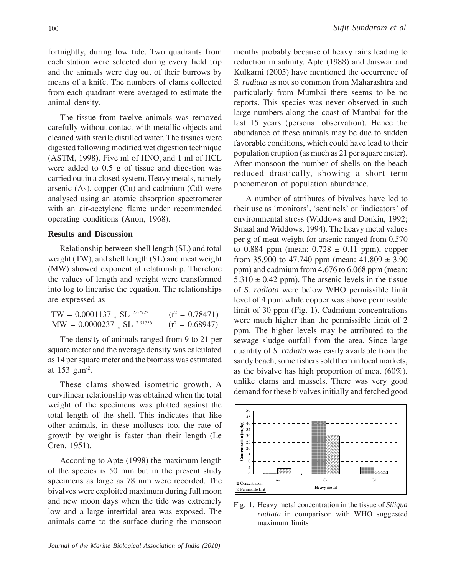fortnightly, during low tide. Two quadrants from each station were selected during every field trip and the animals were dug out of their burrows by means of a knife. The numbers of clams collected from each quadrant were averaged to estimate the animal density.

The tissue from twelve animals was removed carefully without contact with metallic objects and cleaned with sterile distilled water. The tissues were digested following modified wet digestion technique  $(ASTM, 1998)$ . Five ml of  $HNO<sub>3</sub>$  and 1 ml of  $HCL$ were added to 0.5 g of tissue and digestion was carried out in a closed system. Heavy metals, namely arsenic (As), copper (Cu) and cadmium (Cd) were analysed using an atomic absorption spectrometer with an air-acetylene flame under recommended operating conditions (Anon, 1968).

### **Results and Discussion**

Relationship between shell length (SL) and total weight (TW), and shell length (SL) and meat weight (MW) showed exponential relationship. Therefore the values of length and weight were transformed into log to linearise the equation. The relationships are expressed as

| $TW = 0.0001137 * SL^{2.67922}$          | $(r^2 = 0.78471)$ |
|------------------------------------------|-------------------|
| $MW = 0.0000237$ , SL <sup>2.91756</sup> | $(r^2 = 0.68947)$ |

The density of animals ranged from 9 to 21 per square meter and the average density was calculated as 14 per square meter and the biomass was estimated at 153 g.m-2.

These clams showed isometric growth. A curvilinear relationship was obtained when the total weight of the specimens was plotted against the total length of the shell. This indicates that like other animals, in these molluscs too, the rate of growth by weight is faster than their length (Le Cren, 1951).

According to Apte (1998) the maximum length of the species is 50 mm but in the present study specimens as large as 78 mm were recorded. The bivalves were exploited maximum during full moon and new moon days when the tide was extremely low and a large intertidal area was exposed. The animals came to the surface during the monsoon months probably because of heavy rains leading to reduction in salinity. Apte (1988) and Jaiswar and Kulkarni (2005) have mentioned the occurrence of *S. radiata* as not so common from Maharashtra and particularly from Mumbai there seems to be no reports. This species was never observed in such large numbers along the coast of Mumbai for the last 15 years (personal observation). Hence the abundance of these animals may be due to sudden favorable conditions, which could have lead to their population eruption (as much as 21 per square meter). After monsoon the number of shells on the beach reduced drastically, showing a short term phenomenon of population abundance.

A number of attributes of bivalves have led to their use as 'monitors', 'sentinels' or 'indicators' of environmental stress (Widdows and Donkin, 1992; Smaal and Widdows, 1994). The heavy metal values per g of meat weight for arsenic ranged from 0.570 to 0.884 ppm (mean:  $0.728 \pm 0.11$  ppm), copper from 35.900 to 47.740 ppm (mean:  $41.809 \pm 3.90$ ppm) and cadmium from 4.676 to 6.068 ppm (mean:  $5.310 \pm 0.42$  ppm). The arsenic levels in the tissue of *S. radiata* were below WHO permissible limit level of 4 ppm while copper was above permissible limit of 30 ppm (Fig. 1). Cadmium concentrations were much higher than the permissible limit of 2 ppm. The higher levels may be attributed to the sewage sludge outfall from the area. Since large quantity of *S. radiata* was easily available from the sandy beach, some fishers sold them in local markets, as the bivalve has high proportion of meat (60%), unlike clams and mussels. There was very good demand for these bivalves initially and fetched good



Fig. 1. Heavy metal concentration in the tissue of *Siliqua radiata* in comparison with WHO suggested maximum limits